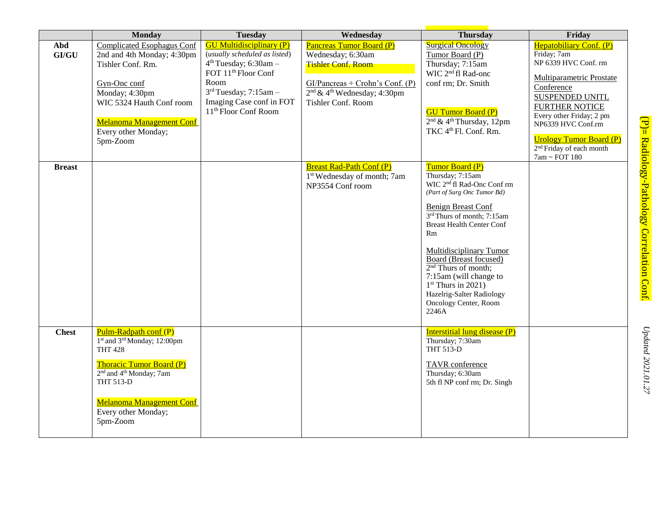|               | <b>Monday</b>                                                                                                                                                                                                                                                                  | <b>Tuesday</b>                                                                                                                                                                                                                     | Wednesday                                                                                                                                                                      | <b>Thursday</b>                                                                                                                                                                                                                                                                                                                                                                                                         | Friday                                                                                                                                                                                                                                                                                                        |
|---------------|--------------------------------------------------------------------------------------------------------------------------------------------------------------------------------------------------------------------------------------------------------------------------------|------------------------------------------------------------------------------------------------------------------------------------------------------------------------------------------------------------------------------------|--------------------------------------------------------------------------------------------------------------------------------------------------------------------------------|-------------------------------------------------------------------------------------------------------------------------------------------------------------------------------------------------------------------------------------------------------------------------------------------------------------------------------------------------------------------------------------------------------------------------|---------------------------------------------------------------------------------------------------------------------------------------------------------------------------------------------------------------------------------------------------------------------------------------------------------------|
| Abd<br>GI/GU  | <b>Complicated Esophagus Conf</b><br>2nd and 4th Monday; 4:30pm<br>Tishler Conf. Rm.<br>Gyn-Onc conf<br>Monday; 4:30pm<br>WIC 5324 Hauth Conf room<br><b>Melanoma Management Conf</b><br>Every other Monday;<br>5pm-Zoom                                                       | <b>GU Multidisciplinary (P)</b><br>(usually scheduled as listed)<br>$4th Tuesday$ ; 6:30am -<br>FOT 11 <sup>th</sup> Floor Conf<br>Room<br>$3rd Tuesday; 7:15am -$<br>Imaging Case conf in FOT<br>11 <sup>th</sup> Floor Conf Room | <b>Pancreas Tumor Board (P)</b><br>Wednesday; 6:30am<br><b>Tishler Conf. Room</b><br>$GI/Pancreas + Crohn's Conf. (P)$<br>$2nd \& 4th Wednesday; 4:30pm$<br>Tishler Conf. Room | <b>Surgical Oncology</b><br>Tumor Board (P)<br>Thursday; 7:15am<br>WIC 2 <sup>nd</sup> fl Rad-onc<br>conf rm; Dr. Smith<br><b>GU Tumor Board (P)</b><br>$2nd$ & 4 <sup>th</sup> Thursday, 12pm<br>TKC 4 <sup>th</sup> Fl. Conf. Rm.                                                                                                                                                                                     | Hepatobiliary Conf. (P)<br>Friday; 7am<br>NP 6339 HVC Conf. rm<br>Multiparametric Prostate<br>Conference<br><b>SUSPENDED UNITL</b><br><b>FURTHER NOTICE</b><br>Every other Friday; 2 pm<br>NP6339 HVC Conf.rm<br><b>Urology Tumor Board (P)</b><br>2 <sup>nd</sup> Friday of each month<br>$7am \sim$ FOT 180 |
| <b>Breast</b> |                                                                                                                                                                                                                                                                                |                                                                                                                                                                                                                                    | <b>Breast Rad-Path Conf (P)</b><br>1 <sup>st</sup> Wednesday of month; 7am<br>NP3554 Conf room                                                                                 | Tumor Board (P)<br>Thursday; 7:15am<br>WIC 2 <sup>nd</sup> fl Rad-Onc Conf rm<br>(Part of Surg Onc Tumor Bd)<br><b>Benign Breast Conf</b><br>3rd Thurs of month; 7:15am<br><b>Breast Health Center Conf</b><br>Rm<br>Multidisciplinary Tumor<br>Board (Breast focused)<br>$2nd$ Thurs of month;<br>7:15am (will change to<br>$1st$ Thurs in 2021)<br>Hazelrig-Salter Radiology<br><b>Oncology Center, Room</b><br>2246A |                                                                                                                                                                                                                                                                                                               |
| <b>Chest</b>  | Pulm-Radpath conf (P)<br>1 <sup>st</sup> and 3 <sup>rd</sup> Monday; 12:00pm<br><b>THT 428</b><br><b>Thoracic Tumor Board (P)</b><br>2 <sup>nd</sup> and 4 <sup>th</sup> Monday; 7am<br><b>THT 513-D</b><br><b>Melanoma Management Conf</b><br>Every other Monday;<br>5pm-Zoom |                                                                                                                                                                                                                                    |                                                                                                                                                                                | <b>Interstitial lung disease (P)</b><br>Thursday; 7:30am<br><b>THT 513-D</b><br>TAVR conference<br>Thursday; 6:30am<br>5th fl NP conf rm; Dr. Singh                                                                                                                                                                                                                                                                     |                                                                                                                                                                                                                                                                                                               |